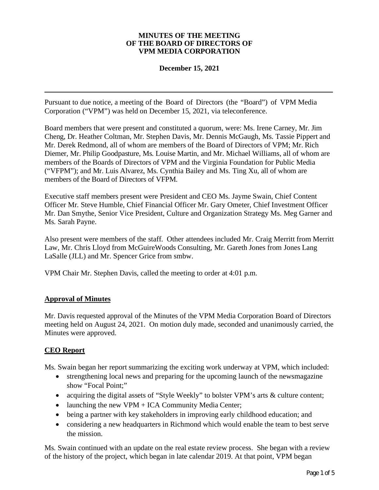#### **MINUTES OF THE MEETING OF THE BOARD OF DIRECTORS OF VPM MEDIA CORPORATION**

### **December 15, 2021**

Pursuant to due notice, a meeting of the Board of Directors (the "Board") of VPM Media Corporation ("VPM") was held on December 15, 2021, via teleconference.

Board members that were present and constituted a quorum, were: Ms. Irene Carney, Mr. Jim Cheng, Dr. Heather Coltman, Mr. Stephen Davis, Mr. Dennis McGaugh, Ms. Tassie Pippert and Mr. Derek Redmond, all of whom are members of the Board of Directors of VPM; Mr. Rich Diemer, Mr. Philip Goodpasture, Ms. Louise Martin, and Mr. Michael Williams, all of whom are members of the Boards of Directors of VPM and the Virginia Foundation for Public Media ("VFPM"); and Mr. Luis Alvarez, Ms. Cynthia Bailey and Ms. Ting Xu, all of whom are members of the Board of Directors of VFPM.

Executive staff members present were President and CEO Ms. Jayme Swain, Chief Content Officer Mr. Steve Humble, Chief Financial Officer Mr. Gary Ometer, Chief Investment Officer Mr. Dan Smythe, Senior Vice President, Culture and Organization Strategy Ms. Meg Garner and Ms. Sarah Payne.

Also present were members of the staff. Other attendees included Mr. Craig Merritt from Merritt Law, Mr. Chris Lloyd from McGuireWoods Consulting, Mr. Gareth Jones from Jones Lang LaSalle (JLL) and Mr. Spencer Grice from smbw.

VPM Chair Mr. Stephen Davis, called the meeting to order at 4:01 p.m.

### **Approval of Minutes**

Mr. Davis requested approval of the Minutes of the VPM Media Corporation Board of Directors meeting held on August 24, 2021. On motion duly made, seconded and unanimously carried, the Minutes were approved.

# **CEO Report**

Ms. Swain began her report summarizing the exciting work underway at VPM, which included:

- strengthening local news and preparing for the upcoming launch of the newsmagazine show "Focal Point;"
- · acquiring the digital assets of "Style Weekly" to bolster VPM's arts & culture content;
- launching the new VPM + ICA Community Media Center;
- · being a partner with key stakeholders in improving early childhood education; and
- considering a new headquarters in Richmond which would enable the team to best serve the mission.

Ms. Swain continued with an update on the real estate review process. She began with a review of the history of the project, which began in late calendar 2019. At that point, VPM began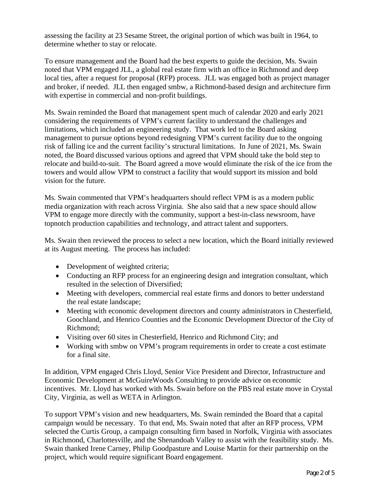assessing the facility at 23 Sesame Street, the original portion of which was built in 1964, to determine whether to stay or relocate.

To ensure management and the Board had the best experts to guide the decision, Ms. Swain noted that VPM engaged JLL, a global real estate firm with an office in Richmond and deep local ties, after a request for proposal (RFP) process. JLL was engaged both as project manager and broker, if needed. JLL then engaged smbw, a Richmond-based design and architecture firm with expertise in commercial and non-profit buildings.

Ms. Swain reminded the Board that management spent much of calendar 2020 and early 2021 considering the requirements of VPM's current facility to understand the challenges and limitations, which included an engineering study. That work led to the Board asking management to pursue options beyond redesigning VPM's current facility due to the ongoing risk of falling ice and the current facility's structural limitations. In June of 2021, Ms. Swain noted, the Board discussed various options and agreed that VPM should take the bold step to relocate and build-to-suit. The Board agreed a move would eliminate the risk of the ice from the towers and would allow VPM to construct a facility that would support its mission and bold vision for the future.

Ms. Swain commented that VPM's headquarters should reflect VPM is as a modern public media organization with reach across Virginia. She also said that a new space should allow VPM to engage more directly with the community, support a best-in-class newsroom, have topnotch production capabilities and technology, and attract talent and supporters.

Ms. Swain then reviewed the process to select a new location, which the Board initially reviewed at its August meeting. The process has included:

- Development of weighted criteria;
- Conducting an RFP process for an engineering design and integration consultant, which resulted in the selection of Diversified;
- Meeting with developers, commercial real estate firms and donors to better understand the real estate landscape;
- Meeting with economic development directors and county administrators in Chesterfield, Goochland, and Henrico Counties and the Economic Development Director of the City of Richmond;
- · Visiting over 60 sites in Chesterfield, Henrico and Richmond City; and
- Working with smbw on VPM's program requirements in order to create a cost estimate for a final site.

In addition, VPM engaged Chris Lloyd, Senior Vice President and Director, Infrastructure and Economic Development at McGuireWoods Consulting to provide advice on economic incentives. Mr. Lloyd has worked with Ms. Swain before on the PBS real estate move in Crystal City, Virginia, as well as WETA in Arlington.

To support VPM's vision and new headquarters, Ms. Swain reminded the Board that a capital campaign would be necessary. To that end, Ms. Swain noted that after an RFP process, VPM selected the Curtis Group, a campaign consulting firm based in Norfolk, Virginia with associates in Richmond, Charlottesville, and the Shenandoah Valley to assist with the feasibility study. Ms. Swain thanked Irene Carney, Philip Goodpasture and Louise Martin for their partnership on the project, which would require significant Board engagement.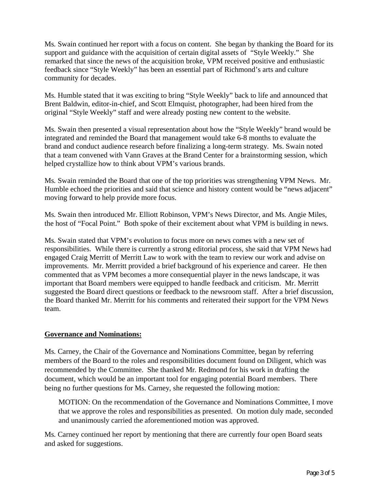Ms. Swain continued her report with a focus on content. She began by thanking the Board for its support and guidance with the acquisition of certain digital assets of "Style Weekly." She remarked that since the news of the acquisition broke, VPM received positive and enthusiastic feedback since "Style Weekly" has been an essential part of Richmond's arts and culture community for decades.

Ms. Humble stated that it was exciting to bring "Style Weekly" back to life and announced that Brent Baldwin, editor-in-chief, and Scott Elmquist, photographer, had been hired from the original "Style Weekly" staff and were already posting new content to the website.

Ms. Swain then presented a visual representation about how the "Style Weekly" brand would be integrated and reminded the Board that management would take 6-8 months to evaluate the brand and conduct audience research before finalizing a long-term strategy. Ms. Swain noted that a team convened with Vann Graves at the Brand Center for a brainstorming session, which helped crystallize how to think about VPM's various brands.

Ms. Swain reminded the Board that one of the top priorities was strengthening VPM News. Mr. Humble echoed the priorities and said that science and history content would be "news adjacent" moving forward to help provide more focus.

Ms. Swain then introduced Mr. Elliott Robinson, VPM's News Director, and Ms. Angie Miles, the host of "Focal Point." Both spoke of their excitement about what VPM is building in news.

Ms. Swain stated that VPM's evolution to focus more on news comes with a new set of responsibilities. While there is currently a strong editorial process, she said that VPM News had engaged Craig Merritt of Merritt Law to work with the team to review our work and advise on improvements. Mr. Merritt provided a brief background of his experience and career. He then commented that as VPM becomes a more consequential player in the news landscape, it was important that Board members were equipped to handle feedback and criticism. Mr. Merritt suggested the Board direct questions or feedback to the newsroom staff. After a brief discussion, the Board thanked Mr. Merritt for his comments and reiterated their support for the VPM News team.

# **Governance and Nominations:**

Ms. Carney, the Chair of the Governance and Nominations Committee, began by referring members of the Board to the roles and responsibilities document found on Diligent, which was recommended by the Committee. She thanked Mr. Redmond for his work in drafting the document, which would be an important tool for engaging potential Board members. There being no further questions for Ms. Carney, she requested the following motion:

MOTION: On the recommendation of the Governance and Nominations Committee, I move that we approve the roles and responsibilities as presented. On motion duly made, seconded and unanimously carried the aforementioned motion was approved.

Ms. Carney continued her report by mentioning that there are currently four open Board seats and asked for suggestions.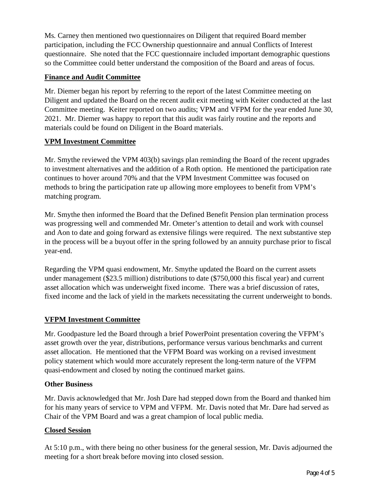Ms. Carney then mentioned two questionnaires on Diligent that required Board member participation, including the FCC Ownership questionnaire and annual Conflicts of Interest questionnaire. She noted that the FCC questionnaire included important demographic questions so the Committee could better understand the composition of the Board and areas of focus.

## **Finance and Audit Committee**

Mr. Diemer began his report by referring to the report of the latest Committee meeting on Diligent and updated the Board on the recent audit exit meeting with Keiter conducted at the last Committee meeting. Keiter reported on two audits; VPM and VFPM for the year ended June 30, 2021. Mr. Diemer was happy to report that this audit was fairly routine and the reports and materials could be found on Diligent in the Board materials.

# **VPM Investment Committee**

Mr. Smythe reviewed the VPM 403(b) savings plan reminding the Board of the recent upgrades to investment alternatives and the addition of a Roth option. He mentioned the participation rate continues to hover around 70% and that the VPM Investment Committee was focused on methods to bring the participation rate up allowing more employees to benefit from VPM's matching program.

Mr. Smythe then informed the Board that the Defined Benefit Pension plan termination process was progressing well and commended Mr. Ometer's attention to detail and work with counsel and Aon to date and going forward as extensive filings were required. The next substantive step in the process will be a buyout offer in the spring followed by an annuity purchase prior to fiscal year-end.

Regarding the VPM quasi endowment, Mr. Smythe updated the Board on the current assets under management (\$23.5 million) distributions to date (\$750,000 this fiscal year) and current asset allocation which was underweight fixed income. There was a brief discussion of rates, fixed income and the lack of yield in the markets necessitating the current underweight to bonds.

# **VFPM Investment Committee**

Mr. Goodpasture led the Board through a brief PowerPoint presentation covering the VFPM's asset growth over the year, distributions, performance versus various benchmarks and current asset allocation. He mentioned that the VFPM Board was working on a revised investment policy statement which would more accurately represent the long-term nature of the VFPM quasi-endowment and closed by noting the continued market gains.

### **Other Business**

Mr. Davis acknowledged that Mr. Josh Dare had stepped down from the Board and thanked him for his many years of service to VPM and VFPM. Mr. Davis noted that Mr. Dare had served as Chair of the VPM Board and was a great champion of local public media.

### **Closed Session**

At 5:10 p.m., with there being no other business for the general session, Mr. Davis adjourned the meeting for a short break before moving into closed session.